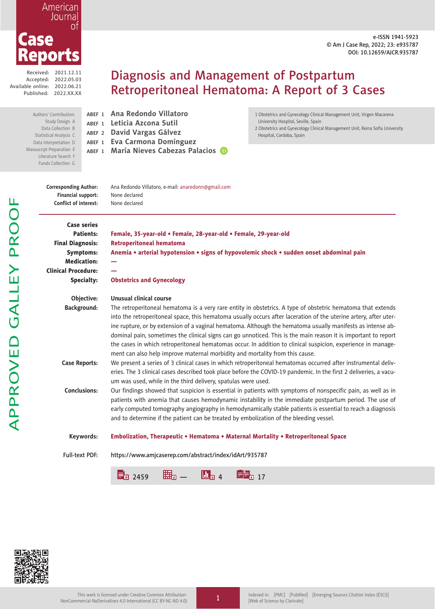e-ISSN 1941-5923 © Am J Case Rep, 2022; 23: e935787 DOI: 10.12659/AJCR.935787

Received: 2021.12.11 Accepted: 2022.05.03 Available online: 2022.06.21 Published: 2022.XX.XX

eports

Case

American Journal 0t

Authors' Contribution: Study Design A Data Collection B Statistical Analysis C Data Interpretation D Manuscript Preparation E Literature Search F Funds Collection G

# Diagnosis and Management of Postpartum Retroperitoneal Hematoma: A Report of 3 Cases

ABEF <sup>1</sup> **Ana Redondo Villatoro** ABEF <sup>1</sup> **Leticia Azcona Sutil** ABEF <sup>2</sup> **David Vargas Gálvez** ABEF <sup>1</sup> **Eva Carmona Domínguez**

ABEF <sup>1</sup> **María Nieves Cabezas Palacios**

1 Obstetrics and Gynecology Clinical Management Unit, Virgen Macarena University Hospital, Seville, Spain

2 Obstetrics and Gynecology Clinical Management Unit, Reina Sofía University Hospital, Cordoba, Spain

| <b>Corresponding Author:</b><br>Financial support:<br><b>Conflict of interest:</b> | Ana Redondo Villatoro, e-mail: anaredonn@gmail.com<br>None declared<br>None declared                                                                                                                                                                                                                                                                                                                                                                                                                                                                                                                                                                            |
|------------------------------------------------------------------------------------|-----------------------------------------------------------------------------------------------------------------------------------------------------------------------------------------------------------------------------------------------------------------------------------------------------------------------------------------------------------------------------------------------------------------------------------------------------------------------------------------------------------------------------------------------------------------------------------------------------------------------------------------------------------------|
| <b>Case series</b>                                                                 |                                                                                                                                                                                                                                                                                                                                                                                                                                                                                                                                                                                                                                                                 |
| Patients:                                                                          | Female, 35-year-old • Female, 28-year-old • Female, 29-year-old                                                                                                                                                                                                                                                                                                                                                                                                                                                                                                                                                                                                 |
| <b>Final Diagnosis:</b>                                                            | <b>Retroperitoneal hematoma</b>                                                                                                                                                                                                                                                                                                                                                                                                                                                                                                                                                                                                                                 |
| <b>Symptoms:</b>                                                                   | Anemia • arterial hypotension • signs of hypovolemic shock • sudden onset abdominal pain                                                                                                                                                                                                                                                                                                                                                                                                                                                                                                                                                                        |
| <b>Medication:</b>                                                                 |                                                                                                                                                                                                                                                                                                                                                                                                                                                                                                                                                                                                                                                                 |
| <b>Clinical Procedure:</b>                                                         |                                                                                                                                                                                                                                                                                                                                                                                                                                                                                                                                                                                                                                                                 |
| Specialty:                                                                         | <b>Obstetrics and Gynecology</b>                                                                                                                                                                                                                                                                                                                                                                                                                                                                                                                                                                                                                                |
|                                                                                    |                                                                                                                                                                                                                                                                                                                                                                                                                                                                                                                                                                                                                                                                 |
| Objective:                                                                         | Unusual clinical course                                                                                                                                                                                                                                                                                                                                                                                                                                                                                                                                                                                                                                         |
| <b>Background:</b>                                                                 | The retroperitoneal hematoma is a very rare entity in obstetrics. A type of obstetric hematoma that extends<br>into the retroperitoneal space, this hematoma usually occurs after laceration of the uterine artery, after uter-<br>ine rupture, or by extension of a vaginal hematoma. Although the hematoma usually manifests as intense ab-<br>dominal pain, sometimes the clinical signs can go unnoticed. This is the main reason it is important to report<br>the cases in which retroperitoneal hematomas occur. In addition to clinical suspicion, experience in manage-<br>ment can also help improve maternal morbidity and mortality from this cause. |
| <b>Case Reports:</b>                                                               | We present a series of 3 clinical cases in which retroperitoneal hematomas occurred after instrumental deliv-<br>eries. The 3 clinical cases described took place before the COVID-19 pandemic. In the first 2 deliveries, a vacu-<br>um was used, while in the third delivery, spatulas were used.                                                                                                                                                                                                                                                                                                                                                             |
| Conclusions:                                                                       | Our findings showed that suspicion is essential in patients with symptoms of nonspecific pain, as well as in<br>patients with anemia that causes hemodynamic instability in the immediate postpartum period. The use of<br>early computed tomography angiography in hemodynamically stable patients is essential to reach a diagnosis<br>and to determine if the patient can be treated by embolization of the bleeding vessel.                                                                                                                                                                                                                                 |
| Keywords:                                                                          | Embolization, Therapeutic • Hematoma • Maternal Mortality • Retroperitoneal Space                                                                                                                                                                                                                                                                                                                                                                                                                                                                                                                                                                               |
| <b>Full-text PDF:</b>                                                              | https://www.amjcaserep.com/abstract/index/idArt/935787                                                                                                                                                                                                                                                                                                                                                                                                                                                                                                                                                                                                          |
|                                                                                    |                                                                                                                                                                                                                                                                                                                                                                                                                                                                                                                                                                                                                                                                 |



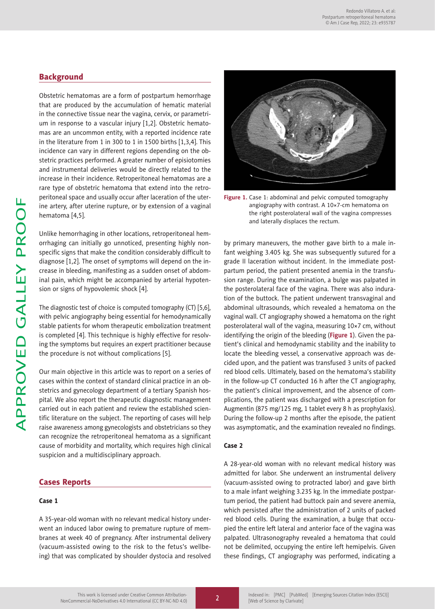## **Background**

Obstetric hematomas are a form of postpartum hemorrhage that are produced by the accumulation of hematic material in the connective tissue near the vagina, cervix, or parametrium in response to a vascular injury [1,2]. Obstetric hematomas are an uncommon entity, with a reported incidence rate in the literature from 1 in 300 to 1 in 1500 births [1,3,4]. This incidence can vary in different regions depending on the obstetric practices performed. A greater number of episiotomies and instrumental deliveries would be directly related to the increase in their incidence. Retroperitoneal hematomas are a rare type of obstetric hematoma that extend into the retroperitoneal space and usually occur after laceration of the uterine artery, after uterine rupture, or by extension of a vaginal hematoma [4,5].

Unlike hemorrhaging in other locations, retroperitoneal hemorrhaging can initially go unnoticed, presenting highly nonspecific signs that make the condition considerably difficult to diagnose [1,2]. The onset of symptoms will depend on the increase in bleeding, manifesting as a sudden onset of abdominal pain, which might be accompanied by arterial hypotension or signs of hypovolemic shock [4].

The diagnostic test of choice is computed tomography (CT) [5,6], with pelvic angiography being essential for hemodynamically stable patients for whom therapeutic embolization treatment is completed [4]. This technique is highly effective for resolving the symptoms but requires an expert practitioner because the procedure is not without complications [5].

Our main objective in this article was to report on a series of cases within the context of standard clinical practice in an obstetrics and gynecology department of a tertiary Spanish hospital. We also report the therapeutic diagnostic management carried out in each patient and review the established scientific literature on the subject. The reporting of cases will help raise awareness among gynecologists and obstetricians so they can recognize the retroperitoneal hematoma as a significant cause of morbidity and mortality, which requires high clinical suspicion and a multidisciplinary approach.

## Cases Reports

## Case 1

A 35-year-old woman with no relevant medical history underwent an induced labor owing to premature rupture of membranes at week 40 of pregnancy. After instrumental delivery (vacuum-assisted owing to the risk to the fetus's wellbeing) that was complicated by shoulder dystocia and resolved



**Figure 1.** Case 1: abdominal and pelvic computed tomography angiography with contrast. A 10×7-cm hematoma on the right posterolateral wall of the vagina compresses and laterally displaces the rectum.

by primary maneuvers, the mother gave birth to a male infant weighing 3.405 kg. She was subsequently sutured for a grade II laceration without incident. In the immediate postpartum period, the patient presented anemia in the transfusion range. During the examination, a bulge was palpated in the posterolateral face of the vagina. There was also induration of the buttock. The patient underwent transvaginal and abdominal ultrasounds, which revealed a hematoma on the vaginal wall. CT angiography showed a hematoma on the right posterolateral wall of the vagina, measuring 10×7 cm, without identifying the origin of the bleeding (**Figure 1**). Given the patient's clinical and hemodynamic stability and the inability to locate the bleeding vessel, a conservative approach was decided upon, and the patient was transfused 3 units of packed red blood cells. Ultimately, based on the hematoma's stability in the follow-up CT conducted 16 h after the CT angiography, the patient's clinical improvement, and the absence of complications, the patient was discharged with a prescription for Augmentin (875 mg/125 mg, 1 tablet every 8 h as prophylaxis). During the follow-up 2 months after the episode, the patient was asymptomatic, and the examination revealed no findings.

## Case 2

A 28-year-old woman with no relevant medical history was admitted for labor. She underwent an instrumental delivery (vacuum-assisted owing to protracted labor) and gave birth to a male infant weighing 3.235 kg. In the immediate postpartum period, the patient had buttock pain and severe anemia, which persisted after the administration of 2 units of packed red blood cells. During the examination, a bulge that occupied the entire left lateral and anterior face of the vagina was palpated. Ultrasonography revealed a hematoma that could not be delimited, occupying the entire left hemipelvis. Given these findings, CT angiography was performed, indicating a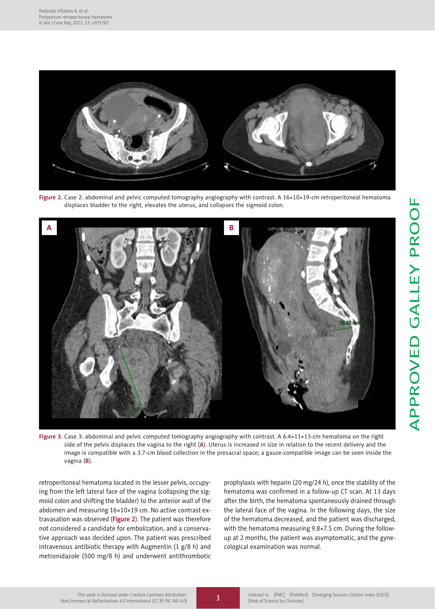

**Figure 2.** Case 2: abdominal and pelvic computed tomography angiography with contrast. A 16×10×19-cm retroperitoneal hematoma displaces bladder to the right, elevates the uterus, and collapses the sigmoid colon.



**Figure 3.** Case 3: abdominal and pelvic computed tomography angiography with contrast. A 6.4×11×13-cm hematoma on the right side of the pelvis displaces the vagina to the right (**A**). Uterus is increased in size in relation to the recent delivery and the image is compatible with a 3.7-cm blood collection in the presacral space; a gauze-compatible image can be seen inside the vagina (**B**).

retroperitoneal hematoma located in the lesser pelvis, occupying from the left lateral face of the vagina (collapsing the sigmoid colon and shifting the bladder) to the anterior wall of the abdomen and measuring 16×10×19 cm. No active contrast extravasation was observed (**Figure 2**). The patient was therefore not considered a candidate for embolization, and a conservative approach was decided upon. The patient was prescribed intravenous antibiotic therapy with Augmentin (1 g/8 h) and metronidazole (500 mg/8 h) and underwent antithrombotic prophylaxis with heparin (20 mg/24 h), once the stability of the hematoma was confirmed in a follow-up CT scan. At 13 days after the birth, the hematoma spontaneously drained through the lateral face of the vagina. In the following days, the size of the hematoma decreased, and the patient was discharged, with the hematoma measuring 9.8×7.5 cm. During the followup at 2 months, the patient was asymptomatic, and the gynecological examination was normal.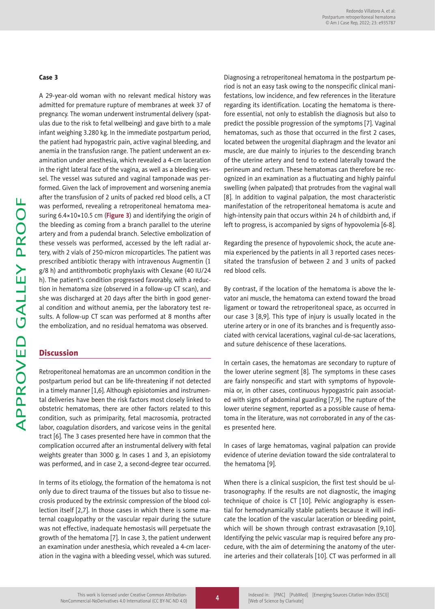## Case 3

A 29-year-old woman with no relevant medical history was admitted for premature rupture of membranes at week 37 of pregnancy. The woman underwent instrumental delivery (spatulas due to the risk to fetal wellbeing) and gave birth to a male infant weighing 3.280 kg. In the immediate postpartum period, the patient had hypogastric pain, active vaginal bleeding, and anemia in the transfusion range. The patient underwent an examination under anesthesia, which revealed a 4-cm laceration in the right lateral face of the vagina, as well as a bleeding vessel. The vessel was sutured and vaginal tamponade was performed. Given the lack of improvement and worsening anemia after the transfusion of 2 units of packed red blood cells, a CT was performed, revealing a retroperitoneal hematoma measuring 6.4×10×10.5 cm (**Figure 3**) and identifying the origin of the bleeding as coming from a branch parallel to the uterine artery and from a pudendal branch. Selective embolization of these vessels was performed, accessed by the left radial artery, with 2 vials of 250-micron microparticles. The patient was prescribed antibiotic therapy with intravenous Augmentin (1 g/8 h) and antithrombotic prophylaxis with Clexane (40 IU/24 h). The patient's condition progressed favorably, with a reduction in hematoma size (observed in a follow-up CT scan), and she was discharged at 20 days after the birth in good general condition and without anemia, per the laboratory test results. A follow-up CT scan was performed at 8 months after the embolization, and no residual hematoma was observed.

## **Discussion**

Retroperitoneal hematomas are an uncommon condition in the postpartum period but can be life-threatening if not detected in a timely manner [1,6]. Although episiotomies and instrumental deliveries have been the risk factors most closely linked to obstetric hematomas, there are other factors related to this condition, such as primiparity, fetal macrosomia, protracted labor, coagulation disorders, and varicose veins in the genital tract [6]. The 3 cases presented here have in common that the complication occurred after an instrumental delivery with fetal weights greater than 3000 g. In cases 1 and 3, an episiotomy was performed, and in case 2, a second-degree tear occurred.

In terms of its etiology, the formation of the hematoma is not only due to direct trauma of the tissues but also to tissue necrosis produced by the extrinsic compression of the blood collection itself [2,7]. In those cases in which there is some maternal coagulopathy or the vascular repair during the suture was not effective, inadequate hemostasis will perpetuate the growth of the hematoma [7]. In case 3, the patient underwent an examination under anesthesia, which revealed a 4-cm laceration in the vagina with a bleeding vessel, which was sutured. Diagnosing a retroperitoneal hematoma in the postpartum period is not an easy task owing to the nonspecific clinical manifestations, low incidence, and few references in the literature regarding its identification. Locating the hematoma is therefore essential, not only to establish the diagnosis but also to predict the possible progression of the symptoms [7]. Vaginal hematomas, such as those that occurred in the first 2 cases, located between the urogenital diaphragm and the levator ani muscle, are due mainly to injuries to the descending branch of the uterine artery and tend to extend laterally toward the perineum and rectum. These hematomas can therefore be recognized in an examination as a fluctuating and highly painful swelling (when palpated) that protrudes from the vaginal wall [8]. In addition to vaginal palpation, the most characteristic manifestation of the retroperitoneal hematoma is acute and high-intensity pain that occurs within 24 h of childbirth and, if left to progress, is accompanied by signs of hypovolemia [6-8].

Regarding the presence of hypovolemic shock, the acute anemia experienced by the patients in all 3 reported cases necessitated the transfusion of between 2 and 3 units of packed red blood cells.

By contrast, if the location of the hematoma is above the levator ani muscle, the hematoma can extend toward the broad ligament or toward the retroperitoneal space, as occurred in our case 3 [8,9]. This type of injury is usually located in the uterine artery or in one of its branches and is frequently associated with cervical lacerations, vaginal cul-de-sac lacerations, and suture dehiscence of these lacerations.

In certain cases, the hematomas are secondary to rupture of the lower uterine segment [8]. The symptoms in these cases are fairly nonspecific and start with symptoms of hypovolemia or, in other cases, continuous hypogastric pain associated with signs of abdominal guarding [7,9]. The rupture of the lower uterine segment, reported as a possible cause of hematoma in the literature, was not corroborated in any of the cases presented here.

In cases of large hematomas, vaginal palpation can provide evidence of uterine deviation toward the side contralateral to the hematoma [9].

When there is a clinical suspicion, the first test should be ultrasonography. If the results are not diagnostic, the imaging technique of choice is CT [10]. Pelvic angiography is essential for hemodynamically stable patients because it will indicate the location of the vascular laceration or bleeding point, which will be shown through contrast extravasation [9,10]. Identifying the pelvic vascular map is required before any procedure, with the aim of determining the anatomy of the uterine arteries and their collaterals [10]. CT was performed in all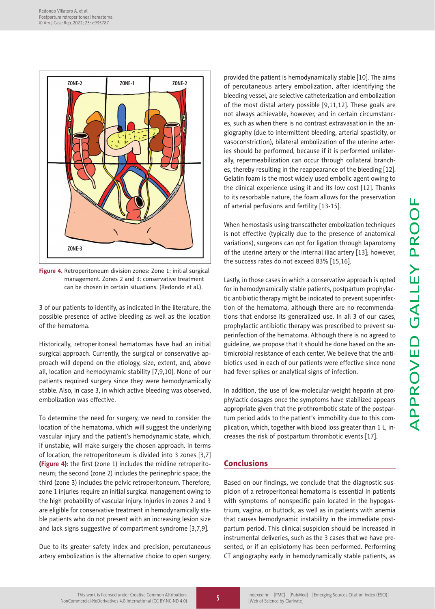

**Figure 4.** Retroperitoneum division zones: Zone 1: initial surgical management. Zones 2 and 3: conservative treatment can be chosen in certain situations. (Redondo et al.).

3 of our patients to identify, as indicated in the literature, the possible presence of active bleeding as well as the location of the hematoma.

Historically, retroperitoneal hematomas have had an initial surgical approach. Currently, the surgical or conservative approach will depend on the etiology, size, extent, and, above all, location and hemodynamic stability [7,9,10]. None of our patients required surgery since they were hemodynamically stable. Also, in case 3, in which active bleeding was observed, embolization was effective.

To determine the need for surgery, we need to consider the location of the hematoma, which will suggest the underlying vascular injury and the patient's hemodynamic state, which, if unstable, will make surgery the chosen approach. In terms of location, the retroperitoneum is divided into 3 zones [3,7] **(Figure 4)**: the first (zone 1) includes the midline retroperitoneum; the second (zone 2) includes the perinephric space; the third (zone 3) includes the pelvic retroperitoneum. Therefore, zone 1 injuries require an initial surgical management owing to the high probability of vascular injury. Injuries in zones 2 and 3 are eligible for conservative treatment in hemodynamically stable patients who do not present with an increasing lesion size and lack signs suggestive of compartment syndrome [3,7,9].

Due to its greater safety index and precision, percutaneous artery embolization is the alternative choice to open surgery, provided the patient is hemodynamically stable [10]. The aims of percutaneous artery embolization, after identifying the bleeding vessel, are selective catheterization and embolization of the most distal artery possible [9,11,12]. These goals are not always achievable, however, and in certain circumstances, such as when there is no contrast extravasation in the angiography (due to intermittent bleeding, arterial spasticity, or vasoconstriction), bilateral embolization of the uterine arteries should be performed, because if it is performed unilaterally, repermeabilization can occur through collateral branches, thereby resulting in the reappearance of the bleeding [12]. Gelatin foam is the most widely used embolic agent owing to the clinical experience using it and its low cost [12]. Thanks to its resorbable nature, the foam allows for the preservation of arterial perfusions and fertility [13-15].

When hemostasis using transcatheter embolization techniques is not effective (typically due to the presence of anatomical variations), surgeons can opt for ligation through laparotomy of the uterine artery or the internal iliac artery [13]; however, the success rates do not exceed 83% [15,16].

Lastly, in those cases in which a conservative approach is opted for in hemodynamically stable patients, postpartum prophylactic antibiotic therapy might be indicated to prevent superinfection of the hematoma, although there are no recommendations that endorse its generalized use. In all 3 of our cases, prophylactic antibiotic therapy was prescribed to prevent superinfection of the hematoma. Although there is no agreed to guideline, we propose that it should be done based on the antimicrobial resistance of each center. We believe that the antibiotics used in each of our patients were effective since none had fever spikes or analytical signs of infection.

In addition, the use of low-molecular-weight heparin at prophylactic dosages once the symptoms have stabilized appears appropriate given that the prothrombotic state of the postpartum period adds to the patient's immobility due to this complication, which, together with blood loss greater than 1 L, increases the risk of postpartum thrombotic events [17].

# Conclusions

Based on our findings, we conclude that the diagnostic suspicion of a retroperitoneal hematoma is essential in patients with symptoms of nonspecific pain located in the hypogastrium, vagina, or buttock, as well as in patients with anemia that causes hemodynamic instability in the immediate postpartum period. This clinical suspicion should be increased in instrumental deliveries, such as the 3 cases that we have presented, or if an episiotomy has been performed. Performing CT angiography early in hemodynamically stable patients, as